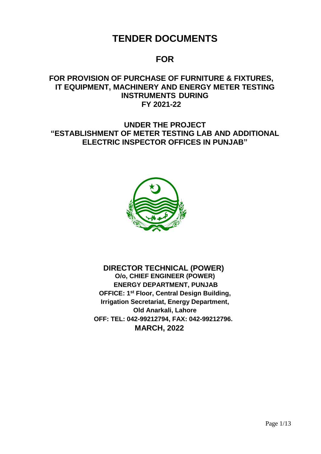# **TENDER DOCUMENTS**

# **FOR**

## **FOR PROVISION OF PURCHASE OF FURNITURE & FIXTURES, IT EQUIPMENT, MACHINERY AND ENERGY METER TESTING INSTRUMENTS DURING FY 2021-22**

**UNDER THE PROJECT "ESTABLISHMENT OF METER TESTING LAB AND ADDITIONAL ELECTRIC INSPECTOR OFFICES IN PUNJAB"**



 **DIRECTOR TECHNICAL (POWER) O/o, CHIEF ENGINEER (POWER) ENERGY DEPARTMENT, PUNJAB OFFICE: 1 st Floor, Central Design Building, Irrigation Secretariat, Energy Department, Old Anarkali, Lahore OFF: TEL: 042-99212794, FAX: 042-99212796. MARCH, 2022**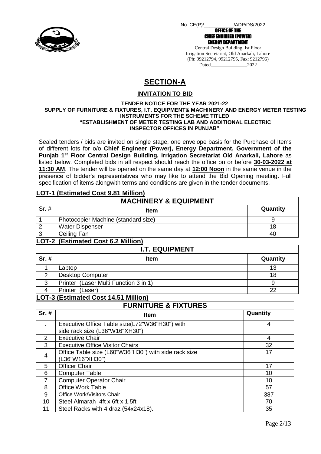

No. CE(P)/\_\_\_\_\_\_\_\_\_\_\_/ADP/DS/2022

OFFICE OF THE

CHIEF ENGINEER (POWER) ENERGY DEPARTMENT

Central Design Building, Ist Floor Irrigation Secretariat, Old Anarkali, Lahore (Ph: 99212794, 99212795, Fax: 9212796) Dated 2022

# **SECTION-A**

### **INVITATION TO BID**

#### **TENDER NOTICE FOR THE YEAR 2021-22 SUPPLY OF FURNITURE & FIXTURES, I.T. EQUIPMENT& MACHINERY AND ENERGY METER TESTING INSTRUMENTS FOR THE SCHEME TITLED "ESTABLISHMENT OF METER TESTING LAB AND ADDITIONAL ELECTRIC INSPECTOR OFFICES IN PUNJAB"**

Sealed tenders / bids are invited on single stage, one envelope basis for the Purchase of Items of different lots for o/o **Chief Engineer (Power), Energy Department, Government of the Punjab 1st Floor Central Design Building, Irrigation Secretariat Old Anarkali, Lahore** as listed below. Completed bids in all respect should reach the office on or before **30-03-2022 at 11:30 AM**. The tender will be opened on the same day at **12:00 Noon** in the same venue in the presence of bidder's representatives who may like to attend the Bid Opening meeting. Full specification of items alongwith terms and conditions are given in the tender documents.

## **LOT-1 (Estimated Cost 9.81 Million)**

| <b>MACHINERY &amp; EQUIPMENT</b>          |                                                                                  |          |  |  |  |  |  |  |  |
|-------------------------------------------|----------------------------------------------------------------------------------|----------|--|--|--|--|--|--|--|
| $Sr.$ #                                   | <b>Item</b>                                                                      | Quantity |  |  |  |  |  |  |  |
| 1                                         | Photocopier Machine (standard size)                                              | 9        |  |  |  |  |  |  |  |
| $\overline{2}$                            | <b>Water Dispenser</b>                                                           | 18       |  |  |  |  |  |  |  |
| $\overline{3}$                            | Ceiling Fan                                                                      | 40       |  |  |  |  |  |  |  |
| <b>LOT-2 (Estimated Cost 6.2 Million)</b> |                                                                                  |          |  |  |  |  |  |  |  |
|                                           | <b>I.T. EQUIPMENT</b>                                                            |          |  |  |  |  |  |  |  |
| $Sr.$ #                                   | <b>Item</b>                                                                      | Quantity |  |  |  |  |  |  |  |
| 1                                         | Laptop                                                                           | 13       |  |  |  |  |  |  |  |
| $\overline{2}$                            | <b>Desktop Computer</b>                                                          | 18       |  |  |  |  |  |  |  |
| 3                                         | Printer (Laser Multi Function 3 in 1)                                            | 9        |  |  |  |  |  |  |  |
| $\overline{4}$                            | Printer (Laser)                                                                  | 22       |  |  |  |  |  |  |  |
|                                           | LOT-3 (Estimated Cost 14.51 Million)                                             |          |  |  |  |  |  |  |  |
|                                           | <b>FURNITURE &amp; FIXTURES</b>                                                  |          |  |  |  |  |  |  |  |
| Sr. #                                     | Item                                                                             | Quantity |  |  |  |  |  |  |  |
| 1                                         | Executive Office Table size(L72"W36"H30") with<br>side rack size (L36"W16"XH30") | 4        |  |  |  |  |  |  |  |
| $\overline{2}$                            | <b>Executive Chair</b>                                                           | 4        |  |  |  |  |  |  |  |
| 3                                         | <b>Executive Office Visitor Chairs</b>                                           | 32       |  |  |  |  |  |  |  |
| 4                                         | Office Table size (L60"W36"H30") with side rack size<br>(L36"W16"XH30")          | 17       |  |  |  |  |  |  |  |
| 5                                         | <b>Officer Chair</b>                                                             | 17       |  |  |  |  |  |  |  |
| 6                                         | <b>Computer Table</b>                                                            | 10       |  |  |  |  |  |  |  |
| $\overline{7}$                            | <b>Computer Operator Chair</b>                                                   | 10       |  |  |  |  |  |  |  |
| 8                                         | <b>Office Work Table</b>                                                         | 57       |  |  |  |  |  |  |  |
| 9                                         | Office Work/Visitors Chair                                                       | 387      |  |  |  |  |  |  |  |
| 10                                        | Steel Almarah 4ft x 6ft x 1.5ft                                                  | 70       |  |  |  |  |  |  |  |
| 11                                        | Steel Racks with 4 draz (54x24x18).                                              | 35       |  |  |  |  |  |  |  |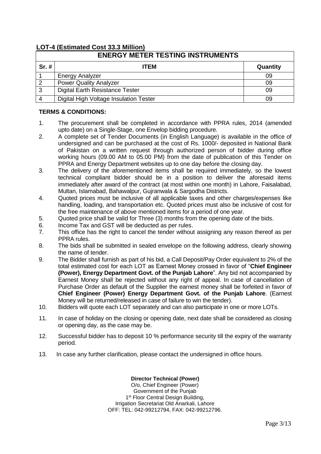## **LOT-4 (Estimated Cost 33.3 Million)**

|         | <b>ENERGY METER TESTING INSTRUMENTS</b> |          |  |  |  |  |  |  |  |
|---------|-----------------------------------------|----------|--|--|--|--|--|--|--|
| $Sr.$ # | <b>ITEM</b>                             | Quantity |  |  |  |  |  |  |  |
|         | <b>Energy Analyzer</b>                  | 09       |  |  |  |  |  |  |  |
| 2       | <b>Power Quality Analyzer</b>           | 09       |  |  |  |  |  |  |  |
| 3       | Digital Earth Resistance Tester         | 09       |  |  |  |  |  |  |  |
|         | Digital High Voltage Insulation Tester  | 09       |  |  |  |  |  |  |  |

#### **TERMS & CONDITIONS:**

- 1. The procurement shall be completed in accordance with PPRA rules, 2014 (amended upto date) on a Single-Stage, one Envelop bidding procedure.
- 2. A complete set of Tender Documents (in English Language) is available in the office of undersigned and can be purchased at the cost of Rs. 1000/- deposited in National Bank of Pakistan on a written request through authorized person of bidder during office working hours (09.00 AM to 05.00 PM) from the date of publication of this Tender on PPRA and Energy Department websites up to one day before the closing day.
- 3. The delivery of the aforementioned items shall be required immediately, so the lowest technical compliant bidder should be in a position to deliver the aforesaid items immediately after award of the contract (at most within one month) in Lahore, Faisalabad, Multan, Islamabad, Bahawalpur, Gujranwala & Sargodha Districts.
- 4. Quoted prices must be inclusive of all applicable taxes and other charges/expenses like handling, loading, and transportation etc. Quoted prices must also be inclusive of cost for the free maintenance of above mentioned items for a period of one year.
- 5. Quoted price shall be valid for Three (3) months from the opening date of the bids.
- 6. Income Tax and GST will be deducted as per rules.
- 7. This office has the right to cancel the tender without assigning any reason thereof as per PPRA rules.
- 8. The bids shall be submitted in sealed envelope on the following address, clearly showing the name of tender.
- 9. The Bidder shall furnish as part of his bid, a Call Deposit/Pay Order equivalent to 2% of the total estimated cost for each LOT as Earnest Money crossed in favor of "**Chief Engineer (Power), Energy Department Govt. of the Punjab Lahore**". Any bid not accompanied by Earnest Money shall be rejected without any right of appeal. In case of cancellation of Purchase Order as default of the Supplier the earnest money shall be forfeited in favor of **Chief Engineer (Power) Energy Department Govt. of the Punjab Lahore**. (Earnest Money will be returned/released in case of failure to win the tender).
- 10. Bidders will quote each LOT separately and can also participate in one or more LOTs.
- 11. In case of holiday on the closing or opening date, next date shall be considered as closing or opening day, as the case may be.
- 12. Successful bidder has to deposit 10 % performance security till the expiry of the warranty period.
- 13. In case any further clarification, please contact the undersigned in office hours.

#### **Director Technical (Power)**

O/o, Chief Engineer (Power) Government of the Punjab 1<sup>st</sup> Floor Central Design Building, Irrigation Secretariat Old Anarkali, Lahore OFF: TEL: 042-99212794, FAX: 042-99212796.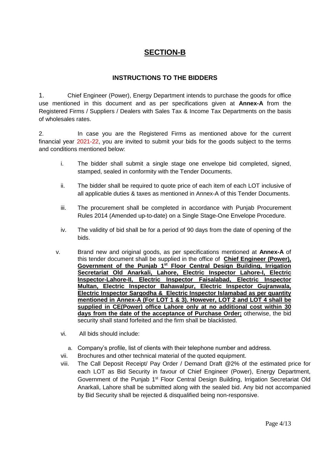## **SECTION-B**

## **INSTRUCTIONS TO THE BIDDERS**

1. Chief Engineer (Power), Energy Department intends to purchase the goods for office use mentioned in this document and as per specifications given at **Annex-A** from the Registered Firms / Suppliers / Dealers with Sales Tax & Income Tax Departments on the basis of wholesales rates.

2. In case you are the Registered Firms as mentioned above for the current financial year 2021-22, you are invited to submit your bids for the goods subject to the terms and conditions mentioned below:

- i. The bidder shall submit a single stage one envelope bid completed, signed, stamped, sealed in conformity with the Tender Documents.
- ii. The bidder shall be required to quote price of each item of each LOT inclusive of all applicable duties & taxes as mentioned in Annex-A of this Tender Documents.
- iii. The procurement shall be completed in accordance with Punjab Procurement Rules 2014 (Amended up-to-date) on a Single Stage-One Envelope Procedure.
- iv. The validity of bid shall be for a period of 90 days from the date of opening of the bids.
- v. Brand new and original goods, as per specifications mentioned at **Annex-A** of this tender document shall be supplied in the office of **Chief Engineer (Power), Government of the Punjab 1st Floor Central Design Building, Irrigation Secretariat Old Anarkali, Lahore, Electric Inspector Lahore-I, Electric Inspector-Lahore-II, Electric Inspector Faisalabad, Electric Inspector Multan, Electric Inspector Bahawalpur, Electric Inspector Gujranwala, Electric Inspector Sargodha & Electric Inspector Islamabad as per quantity mentioned in Annex-A (For LOT 1 & 3). However, LOT 2 and LOT 4 shall be supplied in CE(Power) office Lahore only at no additional cost within 30 days from the date of the acceptance of Purchase Order;** otherwise, the bid security shall stand forfeited and the firm shall be blacklisted.
	- vi. All bids should include:
		- a. Company's profile, list of clients with their telephone number and address.
	- vii. Brochures and other technical material of the quoted equipment.
	- viii. The Call Deposit Receipt/ Pay Order / Demand Draft @2% of the estimated price for each LOT as Bid Security in favour of Chief Engineer (Power), Energy Department, Government of the Punjab 1<sup>st</sup> Floor Central Design Building, Irrigation Secretariat Old Anarkali, Lahore shall be submitted along with the sealed bid. Any bid not accompanied by Bid Security shall be rejected & disqualified being non-responsive.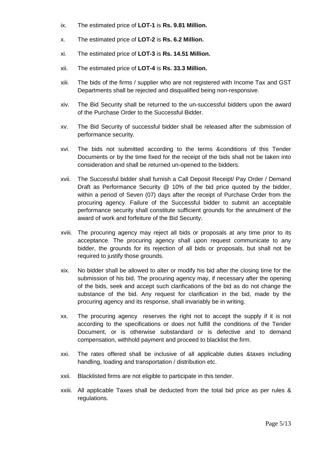- ix. The estimated price of **LOT-1** is **Rs. 9.81 Million.**
- x. The estimated price of **LOT-2** is **Rs. 6.2 Million.**
- xi. The estimated price of **LOT-3** is **Rs. 14.51 Million.**
- xii. The estimated price of **LOT-4** is **Rs. 33.3 Million.**
- xiii. The bids of the firms / supplier who are not registered with Income Tax and GST Departments shall be rejected and disqualified being non-responsive.
- xiv. The Bid Security shall be returned to the un-successful bidders upon the award of the Purchase Order to the Successful Bidder.
- xv. The Bid Security of successful bidder shall be released after the submission of performance security.
- xvi. The bids not submitted according to the terms &conditions of this Tender Documents or by the time fixed for the receipt of the bids shall not be taken into consideration and shall be returned un-opened to the bidders.
- xvii. The Successful bidder shall furnish a Call Deposit Receipt/ Pay Order / Demand Draft as Performance Security @ 10% of the bid price quoted by the bidder, within a period of Seven (07) days after the receipt of Purchase Order from the procuring agency. Failure of the Successful bidder to submit an acceptable performance security shall constitute sufficient grounds for the annulment of the award of work and forfeiture of the Bid Security.
- xviii. The procuring agency may reject all bids or proposals at any time prior to its acceptance. The procuring agency shall upon request communicate to any bidder, the grounds for its rejection of all bids or proposals, but shall not be required to justify those grounds.
- xix. No bidder shall be allowed to alter or modify his bid after the closing time for the submission of his bid. The procuring agency may, if necessary after the opening of the bids, seek and accept such clarifications of the bid as do not change the substance of the bid. Any request for clarification in the bid, made by the procuring agency and its response, shall invariably be in writing.
- xx. The procuring agency reserves the right not to accept the supply if it is not according to the specifications or does not fulfill the conditions of the Tender Document, or is otherwise substandard or is defective and to demand compensation, withhold payment and proceed to blacklist the firm.
- xxi. The rates offered shall be inclusive of all applicable duties &taxes including handling, loading and transportation / distribution etc.
- xxii. Blacklisted firms are not eligible to participate in this tender.
- xxiii. All applicable Taxes shall be deducted from the total bid price as per rules & regulations.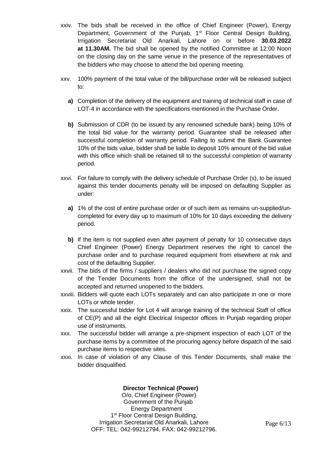- xxiv. The bids shall be received in the office of Chief Engineer (Power), Energy Department, Government of the Punjab, 1<sup>st</sup> Floor Central Design Building, Irrigation Secretariat Old Anarkali, Lahore on or before **30.03.2022 at 11.30AM.** The bid shall be opened by the notified Committee at 12:00 Noon on the closing day on the same venue in the presence of the representatives of the bidders who may choose to attend the bid opening meeting.
- xxv. 100% payment of the total value of the bill/purchase order will be released subject to:
	- **a)** Completion of the delivery of the equipment and training of technical staff in case of LOT-4 in accordance with the specifications mentioned in the Purchase Order.
	- **b)** Submission of CDR (to be issued by any renowned schedule bank) being 10% of the total bid value for the warranty period. Guarantee shall be released after successful completion of warranty period. Failing to submit the Bank Guarantee 10% of the bids value, bidder shall be liable to deposit 10% amount of the bid value with this office which shall be retained till to the successful completion of warranty period.
- xxvi. For failure to comply with the delivery schedule of Purchase Order (s), to be issued against this tender documents penalty will be imposed on defaulting Supplier as under:
	- **a)** 1% of the cost of entire purchase order or of such item as remains un-supplied/uncompleted for every day up to maximum of 10% for 10 days exceeding the delivery period.
	- **b)** If the item is not supplied even after payment of penalty for 10 consecutive days Chief Engineer (Power) Energy Department reserves the right to cancel the purchase order and to purchase required equipment from elsewhere at risk and cost of the defaulting Supplier.
- xxvii. The bids of the firms / suppliers / dealers who did not purchase the signed copy of the Tender Documents from the office of the undersigned, shall not be accepted and returned unopened to the bidders.
- xxviii. Bidders will quote each LOTs separately and can also participate in one or more LOTs or whole tender.
- xxix. The successful bidder for Lot 4 will arrange training of the technical Staff of office of CE(P) and all the eight Electrical Inspector offices in Punjab regarding proper use of instruments.
- xxx. The successful bidder will arrange a pre-shipment inspection of each LOT of the purchase items by a committee of the procuring agency before dispatch of the said purchase items to respective sites.
- xxxi. In case of violation of any Clause of this Tender Documents, shall make the bidder disqualified.

### **Director Technical (Power)**

 O/o, Chief Engineer (Power) Government of the Punjab Energy Department 1<sup>st</sup> Floor Central Design Building, Irrigation Secretariat Old Anarkali, Lahore OFF: TEL: 042-99212794, FAX: 042-99212796.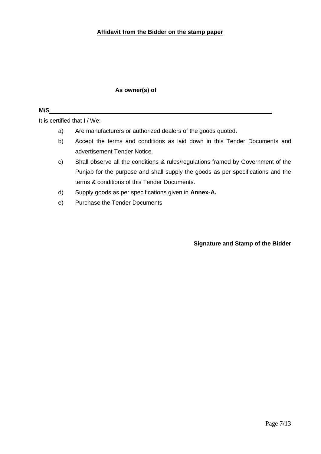#### **Affidavit from the Bidder on the stamp paper**

### **As owner(s) of**

### **M/S**

It is certified that I / We:

- a) Are manufacturers or authorized dealers of the goods quoted.
- b) Accept the terms and conditions as laid down in this Tender Documents and advertisement Tender Notice.
- c) Shall observe all the conditions & rules/regulations framed by Government of the Punjab for the purpose and shall supply the goods as per specifications and the terms & conditions of this Tender Documents.
- d) Supply goods as per specifications given in **Annex-A.**
- e) Purchase the Tender Documents

**Signature and Stamp of the Bidder**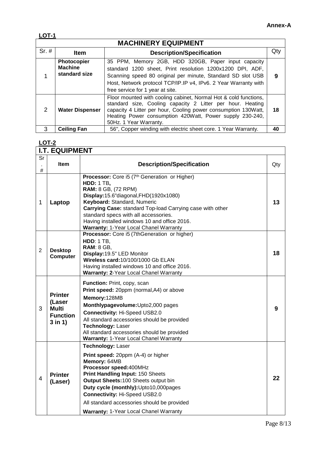|--|

|         | <b>MACHINERY EQUIPMENT</b>                            |                                                                                                                                                                                                                                                                                        |     |  |  |  |  |  |  |  |
|---------|-------------------------------------------------------|----------------------------------------------------------------------------------------------------------------------------------------------------------------------------------------------------------------------------------------------------------------------------------------|-----|--|--|--|--|--|--|--|
| $Sr.$ # | <b>Item</b>                                           | <b>Description/Specification</b>                                                                                                                                                                                                                                                       | Qty |  |  |  |  |  |  |  |
|         | <b>Photocopier</b><br><b>Machine</b><br>standard size | 35 PPM, Memory 2GB, HDD 320GB, Paper input capacity<br>standard 1200 sheet, Print resolution 1200x1200 DPI, ADF,<br>Scanning speed 80 original per minute, Standard SD slot USB<br>Host, Network protocol TCP/IP.IP v4, IPv6. 2 Year Warranty with<br>free service for 1 year at site. | 9   |  |  |  |  |  |  |  |
| 2       | <b>Water Dispenser</b>                                | Floor mounted with cooling cabinet, Normal Hot & cold functions,<br>standard size, Cooling capacity 2 Litter per hour. Heating<br>capacity 4 Litter per hour, Cooling power consumption 130Watt,<br>Heating Power consumption 420Watt, Power supply 230-240,<br>50Hz. 1 Year Warranty. | 18  |  |  |  |  |  |  |  |
| 3       | <b>Ceiling Fan</b>                                    | 56", Copper winding with electric sheet core. 1 Year Warranty.                                                                                                                                                                                                                         | 40  |  |  |  |  |  |  |  |

### **LOT-2**

|                | <b>I.T. EQUIPMENT</b>                                                    |                                                                                                                                                                                                                                                                                                                                                                        |     |
|----------------|--------------------------------------------------------------------------|------------------------------------------------------------------------------------------------------------------------------------------------------------------------------------------------------------------------------------------------------------------------------------------------------------------------------------------------------------------------|-----|
| Sr<br>$\#$     | Item                                                                     | <b>Description/Specification</b>                                                                                                                                                                                                                                                                                                                                       | Qty |
| $\mathbf{1}$   | Laptop                                                                   | Processor: Core i5 (7th Generation or Higher)<br><b>HDD: 1 TB,</b><br><b>RAM:</b> 8 GB, (72 RPM)<br>Display:15.6"diagonal,FHD(1920x1080)<br>Keyboard: Standard, Numeric<br>Carrying Case: standard Top-load Carrying case with other<br>standard specs with all accessories.<br>Having installed windows 10 and office 2016.<br>Warranty: 1-Year Local Chanel Warranty | 13  |
| $\overline{2}$ | <b>Desktop</b><br><b>Computer</b>                                        | Processor: Core i5 (7thGeneration or higher)<br><b>HDD: 1 TB,</b><br><b>RAM: 8 GB,</b><br>Display: 19.5" LED Monitor<br>Wireless card: 10/100/1000 Gb ELAN<br>Having installed windows 10 and office 2016.<br>Warranty: 2-Year Local Chanel Warranty                                                                                                                   | 18  |
| 3              | <b>Printer</b><br>(Laser<br><b>Multi</b><br><b>Function</b><br>$3$ in 1) | Function: Print, copy, scan<br>Print speed: 20ppm (normal, A4) or above<br>Memory:128MB<br>Monthlypagevolume: Upto2,000 pages<br><b>Connectivity: Hi-Speed USB2.0</b><br>All standard accessories should be provided<br>Technology: Laser<br>All standard accessories should be provided<br>Warranty: 1-Year Local Chanel Warranty                                     | 9   |
| 4              | <b>Printer</b><br>(Laser)                                                | <b>Technology: Laser</b><br>Print speed: 20ppm (A-4) or higher<br>Memory: 64MB<br>Processor speed: 400MHz<br>Print Handling Input: 150 Sheets<br>Output Sheets: 100 Sheets output bin<br>Duty cycle (monthly): Upto10,000pages<br><b>Connectivity: Hi-Speed USB2.0</b><br>All standard accessories should be provided<br>Warranty: 1-Year Local Chanel Warranty        | 22  |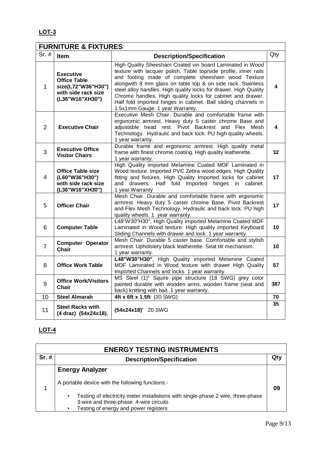## **LOT-3**

# **FURNITURE & FIXTURES**

| $Sr.$ #        | Item                                                                                                    | <b>Description/Specification</b>                                                                                                                                                                                                                                                                                                                                                                                                                                                         | Qty |
|----------------|---------------------------------------------------------------------------------------------------------|------------------------------------------------------------------------------------------------------------------------------------------------------------------------------------------------------------------------------------------------------------------------------------------------------------------------------------------------------------------------------------------------------------------------------------------------------------------------------------------|-----|
| 1              | <b>Executive</b><br><b>Office Table</b><br>size(L72"W36"H30")<br>with side rack size<br>(L36"W16"XH30") | High Quality Sheesham Coated vin board Laminated in Wood<br>texture with lacquer polish. Table top/side profile, inner rails<br>and footing made of complete sheesham wood Texture<br>alongwith 8 mm glass on table top & on side rack. Stainless<br>steel alloy handles. High quality locks for drawer. High Quality<br>Chrome handles. High quality locks for cabinet and drawer.<br>Half fold imported hinges in cabinet. Ball sliding channels in<br>1.5x1mm Gauge. 1 year Warranty. | 4   |
| 2              | <b>Executive Chair</b>                                                                                  | Executive Mesh Chair. Durable and comfortable frame with<br>ergonomic armrest. Heavy duty 5 caster chrome Base and<br>adjustable head rest. Pivot Backrest and Flex Mesh<br>Technology. Hydraulic and back lock. PU high quality wheels.<br>1 year warranty.                                                                                                                                                                                                                             | 4   |
| 3              | <b>Executive Office</b><br><b>Visitor Chairs</b>                                                        | Durable frame and ergonomic armrest. High quality metal<br>frame with finest chrome coating. High quality leatherette.<br>1 year warranty.                                                                                                                                                                                                                                                                                                                                               | 32  |
| $\overline{4}$ | <b>Office Table size</b><br>(L60"W36"H30")<br>with side rack size<br>(L36"W16"XH30")                    | High Quality imported Melamine Coated MDF Laminated in<br>Wood texture. Imported PVC Zebra wood edges. High Quality<br>fitting and fixtures. High Quality Imported locks for cabinet<br>Half fold Imported hinges in cabinet.<br>and drawers.<br>1 year Warranty                                                                                                                                                                                                                         | 17  |
| 5              | <b>Officer Chair</b>                                                                                    | Mesh Chair. Durable and comfortable frame with ergonomic<br>armrest. Heavy duty 5 caster chrome Base. Pivot Backrest<br>and Flex Mesh Technology. Hydraulic and back lock. PU high<br>quality wheels. 1 year warranty.                                                                                                                                                                                                                                                                   | 17  |
| 6              | <b>Computer Table</b>                                                                                   | L48"W30"H30", High Quality imported Melamine Coated MDF<br>Laminated in Wood texture. High quality imported Keyboard<br>Sliding Channels with drawer and lock. 1 year warranty.                                                                                                                                                                                                                                                                                                          | 10  |
| $\overline{7}$ | <b>Computer Operator</b><br><b>Chair</b>                                                                | Mesh Chair. Durable 5 caster base. Comfortable and stylish<br>armrest. Upholstery black leatherette. Seat tilt mechanism.<br>1 year warranty.                                                                                                                                                                                                                                                                                                                                            | 10  |
| 8              | <b>Office Work Table</b>                                                                                | L48"W30"H30", High Quality imported Melamine Coated<br>MDF Laminated in Wood texture with drawer High Quality<br>Imported Channels and locks. 1 year warranty.                                                                                                                                                                                                                                                                                                                           | 57  |
| 9              | <b>Office Work/Visitors</b><br>Chair                                                                    | MS Steel (1)" Squire pipe structure (18 SWG) grey color<br>painted durable with wooden arms, wooden frame (seat and<br>back) knitting with bait. 1 year warranty.                                                                                                                                                                                                                                                                                                                        | 387 |
| 10             | <b>Steel Almarah</b>                                                                                    | 4ft x 6ft x 1.5ft (20 SWG)                                                                                                                                                                                                                                                                                                                                                                                                                                                               | 70  |
| 11             | <b>Steel Racks with</b><br>(4 draz) (54x24x18).                                                         | (54x24x18)' 20 SWG                                                                                                                                                                                                                                                                                                                                                                                                                                                                       | 35  |

## **LOT-4**

| <b>ENERGY TESTING INSTRUMENTS</b> |                                                                                                                                                                                       |     |  |  |  |  |  |  |
|-----------------------------------|---------------------------------------------------------------------------------------------------------------------------------------------------------------------------------------|-----|--|--|--|--|--|--|
| $Sr.$ #                           | <b>Description/Specification</b>                                                                                                                                                      | Qty |  |  |  |  |  |  |
|                                   | <b>Energy Analyzer</b>                                                                                                                                                                |     |  |  |  |  |  |  |
|                                   | A portable device with the following functions:-                                                                                                                                      |     |  |  |  |  |  |  |
|                                   | Testing of electricity meter installations with single-phase 2 wire, three-phase<br>$\bullet$<br>3-wire and three-phase 4-wire circuits<br>Testing of energy and power registers<br>٠ |     |  |  |  |  |  |  |

٦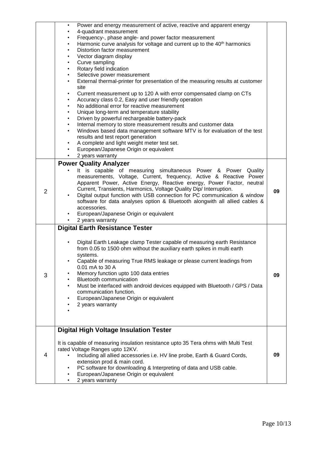|                | Power and energy measurement of active, reactive and apparent energy<br>$\bullet$<br>4-quadrant measurement<br>Frequency-, phase angle- and power factor measurement<br>$\bullet$<br>Harmonic curve analysis for voltage and current up to the 40 <sup>th</sup> harmonics<br>$\bullet$<br>Distortion factor measurement<br>$\bullet$<br>Vector diagram display<br>$\bullet$<br>Curve sampling<br>$\bullet$<br>Rotary field indication<br>$\bullet$<br>Selective power measurement<br>$\bullet$<br>External thermal-printer for presentation of the measuring results at customer<br>$\bullet$<br>site<br>Current measurement up to 120 A with error compensated clamp on CTs<br>$\bullet$<br>Accuracy class 0.2, Easy and user friendly operation<br>$\bullet$<br>No additional error for reactive measurement<br>$\bullet$<br>Unique long-term and temperature stability<br>$\bullet$<br>Driven by powerful rechargeable battery-pack<br>٠<br>Internal memory to store measurement results and customer data<br>$\bullet$<br>Windows based data management software MTV is for evaluation of the test<br>$\bullet$<br>results and test report generation<br>A complete and light weight meter test set.<br>$\bullet$<br>European/Japanese Origin or equivalent<br>2 years warranty |    |
|----------------|-------------------------------------------------------------------------------------------------------------------------------------------------------------------------------------------------------------------------------------------------------------------------------------------------------------------------------------------------------------------------------------------------------------------------------------------------------------------------------------------------------------------------------------------------------------------------------------------------------------------------------------------------------------------------------------------------------------------------------------------------------------------------------------------------------------------------------------------------------------------------------------------------------------------------------------------------------------------------------------------------------------------------------------------------------------------------------------------------------------------------------------------------------------------------------------------------------------------------------------------------------------------------------------|----|
| $\overline{2}$ | <b>Power Quality Analyzer</b><br>It is capable of measuring simultaneous Power & Power Quality<br>measurements, Voltage, Current, frequency, Active & Reactive Power<br>Apparent Power, Active Energy, Reactive energy, Power Factor, neutral<br>Current, Transients, Harmonics, Voltage Quality Dip/ Interruption.<br>Digital output function with USB connection for PC communication & window<br>software for data analyses option & Bluetooth alongwith all allied cables &<br>accessories.<br>European/Japanese Origin or equivalent<br>2 years warranty                                                                                                                                                                                                                                                                                                                                                                                                                                                                                                                                                                                                                                                                                                                       | 09 |
| 3              | <b>Digital Earth Resistance Tester</b><br>Digital Earth Leakage clamp Tester capable of measuring earth Resistance<br>from 0.05 to 1500 ohm without the auxiliary earth spikes in multi earth<br>systems.<br>Capable of measuring True RMS leakage or please current leadings from<br>0.01 mA to 30 A<br>Memory function upto 100 data entries<br><b>Bluetooth communication</b><br>Must be interfaced with android devices equipped with Bluetooth / GPS / Data<br>communication function.<br>European/Japanese Origin or equivalent<br>2 years warranty                                                                                                                                                                                                                                                                                                                                                                                                                                                                                                                                                                                                                                                                                                                           | 09 |
| 4              | <b>Digital High Voltage Insulation Tester</b><br>It is capable of measuring insulation resistance upto 35 Tera ohms with Multi Test<br>rated Voltage Ranges upto 12KV.<br>Including all allied accessories i.e. HV line probe, Earth & Guard Cords,<br>extension prod & main cord.<br>PC software for downloading & Interpreting of data and USB cable.<br>European/Japanese Origin or equivalent<br>2 years warranty                                                                                                                                                                                                                                                                                                                                                                                                                                                                                                                                                                                                                                                                                                                                                                                                                                                               | 09 |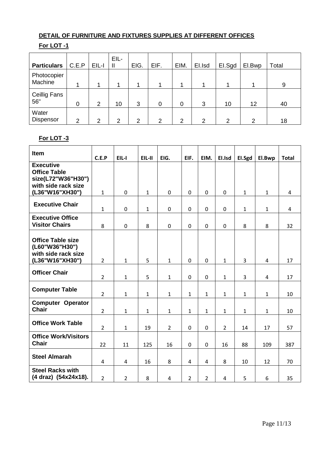## **DETAIL OF FURNITURE AND FIXTURES SUPPLIES AT DIFFERENT OFFICES**

## **For LOT -1**

| <b>Particulars</b>         | C.E.P | EIL-I          | EIL-<br>$\mathbf{I}$ | EIG. | EIF. | EIM. | El.Isd | El.Sgd | El.Bwp | Total |
|----------------------------|-------|----------------|----------------------|------|------|------|--------|--------|--------|-------|
| Photocopier<br>Machine     |       |                |                      |      |      |      |        |        |        | 9     |
| <b>Ceillig Fans</b><br>56" | 0     | $\overline{2}$ | 10                   | 3    | 0    | 0    | 3      | 10     | 12     | 40    |
| Water<br>Dispensor         | າ     | ⌒              | 2                    | 2    | 2    | 2    | 2      | ⌒      | ົ      | 18    |

### **For LOT -3**

| <b>Item</b>                                                                          | C.E.P          | EIL-I          | $EIL-II$     | EIG.           | EIF.           | EIM.           | El.Isd         | EI.Sgd         | El.Bwp         | <b>Total</b>   |
|--------------------------------------------------------------------------------------|----------------|----------------|--------------|----------------|----------------|----------------|----------------|----------------|----------------|----------------|
| <b>Executive</b><br><b>Office Table</b><br>size(L72"W36"H30")<br>with side rack size |                |                |              |                |                |                |                |                |                |                |
| (L36"W16"XH30")                                                                      | $\mathbf{1}$   | 0              | $\mathbf{1}$ | $\mathbf 0$    | $\mathbf 0$    | 0              | $\mathbf 0$    | $\mathbf{1}$   | $\mathbf{1}$   | $\overline{4}$ |
| <b>Executive Chair</b>                                                               | 1              | 0              | $\mathbf{1}$ | 0              | $\mathbf 0$    | 0              | $\mathbf 0$    | $\mathbf{1}$   | $\mathbf{1}$   | $\overline{4}$ |
| <b>Executive Office</b><br><b>Visitor Chairs</b>                                     | 8              | $\pmb{0}$      | 8            | $\mathbf 0$    | $\mathbf 0$    | 0              | 0              | 8              | 8              | 32             |
| <b>Office Table size</b><br>(L60"W36"H30")<br>with side rack size<br>(L36"W16"XH30") | $\overline{2}$ | $\mathbf{1}$   | 5            | $\mathbf{1}$   | $\mathbf 0$    | $\mathbf 0$    | $\mathbf{1}$   | $\overline{3}$ | $\overline{4}$ | 17             |
| <b>Officer Chair</b>                                                                 | $\overline{2}$ | $\mathbf{1}$   | 5            | $\mathbf{1}$   | $\pmb{0}$      | $\mathbf 0$    | $\mathbf{1}$   | $\overline{3}$ | $\overline{4}$ | 17             |
| <b>Computer Table</b>                                                                | $\overline{2}$ | $\mathbf{1}$   | $\mathbf{1}$ | $\mathbf{1}$   | $\mathbf{1}$   | $\mathbf{1}$   | $\mathbf{1}$   | $\mathbf{1}$   | $\mathbf{1}$   | 10             |
| <b>Computer Operator</b><br><b>Chair</b>                                             | $\overline{2}$ | $\mathbf{1}$   | $\mathbf{1}$ | $\mathbf{1}$   | $\mathbf{1}$   | $\mathbf{1}$   | $\mathbf{1}$   | $\mathbf{1}$   | $\mathbf{1}$   | 10             |
| <b>Office Work Table</b>                                                             | $\overline{2}$ | $\mathbf{1}$   | 19           | $\overline{2}$ | $\mathbf 0$    | $\mathbf 0$    | $\overline{2}$ | 14             | 17             | 57             |
| <b>Office Work/Visitors</b><br><b>Chair</b>                                          | 22             | 11             | 125          | 16             | $\mathbf 0$    | 0              | 16             | 88             | 109            | 387            |
| <b>Steel Almarah</b>                                                                 | 4              | 4              | 16           | 8              | 4              | $\overline{4}$ | 8              | 10             | 12             | 70             |
| <b>Steel Racks with</b><br>(4 draz) (54x24x18).                                      | $\overline{2}$ | $\overline{2}$ | 8            | 4              | $\overline{2}$ | $\overline{2}$ | $\overline{4}$ | 5              | 6              | 35             |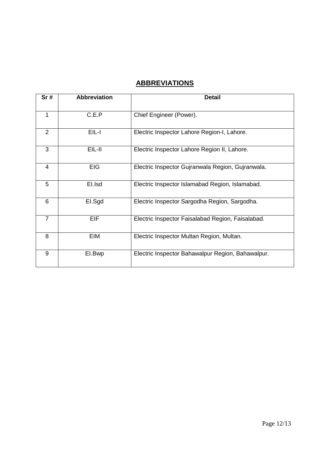# **ABBREVIATIONS**

| Sr#            | <b>Abbreviation</b> | <b>Detail</b>                                     |
|----------------|---------------------|---------------------------------------------------|
| 1              | C.E.P               | Chief Engineer (Power).                           |
|                |                     |                                                   |
| $\overline{2}$ | EIL-I               | Electric Inspector Lahore Region-I, Lahore.       |
| 3              | EIL-II              | Electric Inspector Lahore Region II, Lahore.      |
| 4              | <b>EIG</b>          | Electric Inspector Gujranwala Region, Gujranwala. |
| 5              | El.Isd              | Electric Inspector Islamabad Region, Islamabad.   |
| 6              | El.Sgd              | Electric Inspector Sargodha Region, Sargodha.     |
| $\overline{7}$ | <b>EIF</b>          | Electric Inspector Faisalabad Region, Faisalabad. |
| 8              | EIM                 | Electric Inspector Multan Region, Multan.         |
| 9              | EI.Bwp              | Electric Inspector Bahawalpur Region, Bahawalpur. |